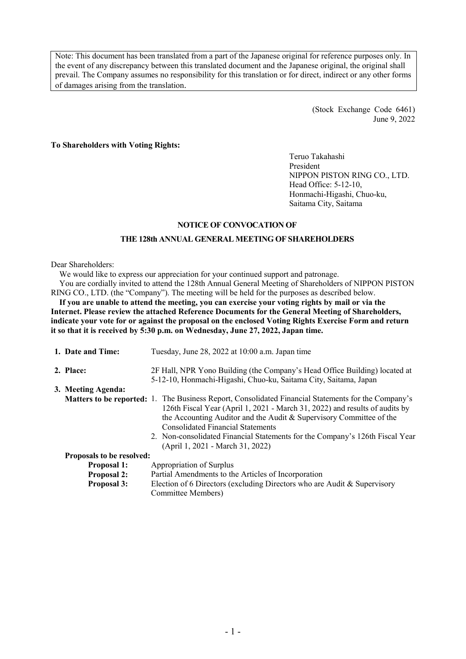Note: This document has been translated from a part of the Japanese original for reference purposes only. In the event of any discrepancy between this translated document and the Japanese original, the original shall prevail. The Company assumes no responsibility for this translation or for direct, indirect or any other forms of damages arising from the translation.

> (Stock Exchange Code 6461) June 9, 2022

## **To Shareholders with Voting Rights:**

Teruo Takahashi President NIPPON PISTON RING CO., LTD. Head Office: 5-12-10, Honmachi-Higashi, Chuo-ku, Saitama City, Saitama

#### **NOTICE OF CONVOCATION OF**

#### **THE 128th ANNUAL GENERAL MEETING OF SHAREHOLDERS**

#### Dear Shareholders:

We would like to express our appreciation for your continued support and patronage.

You are cordially invited to attend the 128th Annual General Meeting of Shareholders of NIPPON PISTON RING CO., LTD. (the "Company"). The meeting will be held for the purposes as described below.

If you are unable to attend the meeting, you can exercise your voting rights by mail or via the **Internet. Please review the attached Reference Documents for the General Meeting of Shareholders, indicate your vote for or against the proposal on the enclosed Voting Rights Exercise Form and return it so that it is received by 5:30 p.m. on Wednesday, June 27, 2022, Japan time.**

| 1. Date and Time:                | Tuesday, June 28, 2022 at 10:00 a.m. Japan time                                                                                                                                                                                                                                                                                                                                                                                  |
|----------------------------------|----------------------------------------------------------------------------------------------------------------------------------------------------------------------------------------------------------------------------------------------------------------------------------------------------------------------------------------------------------------------------------------------------------------------------------|
| 2. Place:                        | 2F Hall, NPR Yono Building (the Company's Head Office Building) located at<br>5-12-10, Honmachi-Higashi, Chuo-ku, Saitama City, Saitama, Japan                                                                                                                                                                                                                                                                                   |
| 3. Meeting Agenda:               |                                                                                                                                                                                                                                                                                                                                                                                                                                  |
|                                  | <b>Matters to be reported:</b> 1. The Business Report, Consolidated Financial Statements for the Company's<br>126th Fiscal Year (April 1, 2021 - March 31, 2022) and results of audits by<br>the Accounting Auditor and the Audit & Supervisory Committee of the<br><b>Consolidated Financial Statements</b><br>2. Non-consolidated Financial Statements for the Company's 126th Fiscal Year<br>(April 1, 2021 - March 31, 2022) |
| <b>Proposals to be resolved:</b> |                                                                                                                                                                                                                                                                                                                                                                                                                                  |
| <b>Proposal 1:</b>               | Appropriation of Surplus                                                                                                                                                                                                                                                                                                                                                                                                         |
| <b>Proposal 2:</b>               | Partial Amendments to the Articles of Incorporation                                                                                                                                                                                                                                                                                                                                                                              |
| <b>Proposal 3:</b>               | Election of 6 Directors (excluding Directors who are Audit & Supervisory<br>Committee Members)                                                                                                                                                                                                                                                                                                                                   |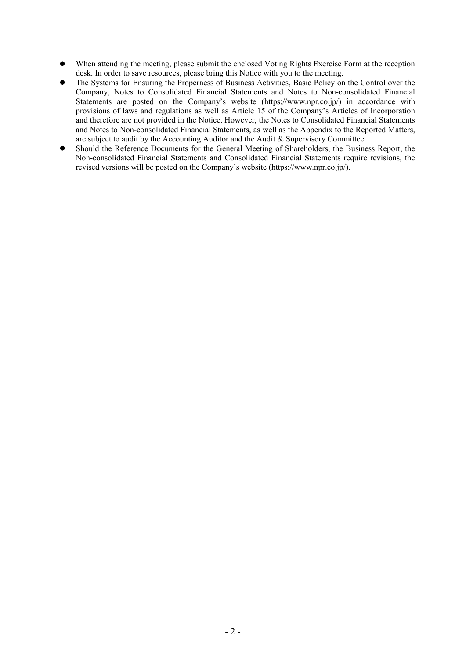- When attending the meeting, please submit the enclosed Voting Rights Exercise Form at the reception desk. In order to save resources, please bring this Notice with you to the meeting.
- The Systems for Ensuring the Properness of Business Activities, Basic Policy on the Control over the Company, Notes to Consolidated Financial Statements and Notes to Non-consolidated Financial Statements are posted on the Company's website (https://www.npr.co.jp/) in accordance with provisions of laws and regulations as well as Article 15 of the Company's Articles of Incorporation and therefore are not provided in the Notice. However, the Notes to Consolidated Financial Statements and Notes to Non-consolidated Financial Statements, as well as the Appendix to the Reported Matters, are subject to audit by the Accounting Auditor and the Audit & Supervisory Committee.
- Should the Reference Documents for the General Meeting of Shareholders, the Business Report, the Non-consolidated Financial Statements and Consolidated Financial Statements require revisions, the revised versions will be posted on the Company's website (https://www.npr.co.jp/).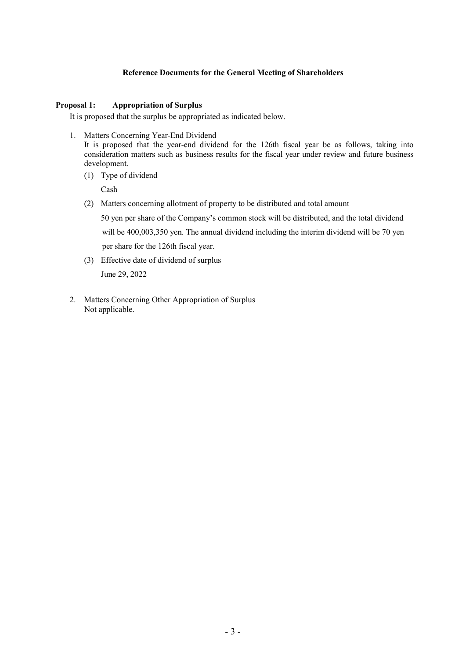# **Reference Documents for the General Meeting of Shareholders**

# **Proposal 1: Appropriation of Surplus**

It is proposed that the surplus be appropriated as indicated below.

1. Matters Concerning Year-End Dividend

It is proposed that the year-end dividend for the 126th fiscal year be as follows, taking into consideration matters such as business results for the fiscal year under review and future business development.

(1) Type of dividend

Cash

(2) Matters concerning allotment of property to be distributed and total amount

50 yen per share of the Company's common stock will be distributed, and the total dividend will be 400,003,350 yen. The annual dividend including the interim dividend will be 70 yen per share for the 126th fiscal year.

- (3) Effective date of dividend of surplus June 29, 2022
- 2. Matters Concerning Other Appropriation of Surplus Not applicable.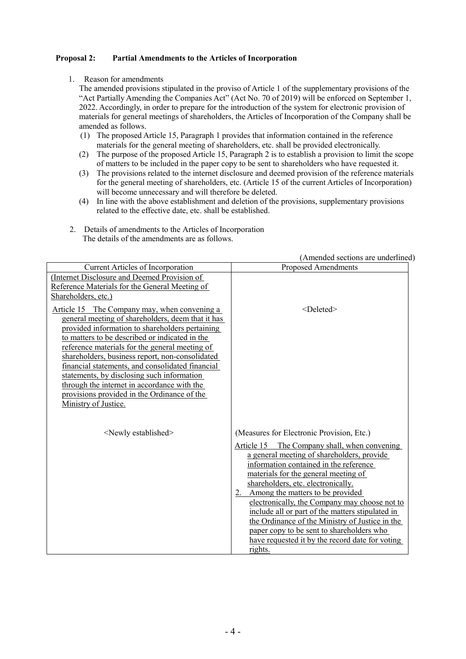# **Proposal 2: Partial Amendments to the Articles of Incorporation**

1. Reason for amendments

The amended provisions stipulated in the proviso of Article 1 of the supplementary provisions of the "Act Partially Amending the Companies Act" (Act No. 70 of 2019) will be enforced on September 1, 2022. Accordingly, in order to prepare for the introduction of the system for electronic provision of materials for general meetings of shareholders, the Articles of Incorporation of the Company shall be amended as follows.

- (1) The proposed Article 15, Paragraph 1 provides that information contained in the reference materials for the general meeting of shareholders, etc. shall be provided electronically.
- (2) The purpose of the proposed Article 15, Paragraph 2 is to establish a provision to limit the scope of matters to be included in the paper copy to be sent to shareholders who have requested it.
- (3) The provisions related to the internet disclosure and deemed provision of the reference materials for the general meeting of shareholders, etc. (Article 15 of the current Articles of Incorporation) will become unnecessary and will therefore be deleted.
- (4) In line with the above establishment and deletion of the provisions, supplementary provisions related to the effective date, etc. shall be established.
- 2. Details of amendments to the Articles of Incorporation The details of the amendments are as follows.

|                                                                                                                                                                                                                                                                                                                                                                                                                                                                                                                                     | (Amended sections are underlined)                                                                                                                                                                                                                                                                                                                                                                                                                                                                                                                                            |
|-------------------------------------------------------------------------------------------------------------------------------------------------------------------------------------------------------------------------------------------------------------------------------------------------------------------------------------------------------------------------------------------------------------------------------------------------------------------------------------------------------------------------------------|------------------------------------------------------------------------------------------------------------------------------------------------------------------------------------------------------------------------------------------------------------------------------------------------------------------------------------------------------------------------------------------------------------------------------------------------------------------------------------------------------------------------------------------------------------------------------|
| Current Articles of Incorporation                                                                                                                                                                                                                                                                                                                                                                                                                                                                                                   | <b>Proposed Amendments</b>                                                                                                                                                                                                                                                                                                                                                                                                                                                                                                                                                   |
| (Internet Disclosure and Deemed Provision of<br>Reference Materials for the General Meeting of<br>Shareholders, etc.)                                                                                                                                                                                                                                                                                                                                                                                                               |                                                                                                                                                                                                                                                                                                                                                                                                                                                                                                                                                                              |
| Article 15 The Company may, when convening a<br>general meeting of shareholders, deem that it has<br>provided information to shareholders pertaining<br>to matters to be described or indicated in the<br>reference materials for the general meeting of<br>shareholders, business report, non-consolidated<br>financial statements, and consolidated financial<br>statements, by disclosing such information<br>through the internet in accordance with the<br>provisions provided in the Ordinance of the<br>Ministry of Justice. | $<$ Deleted $>$                                                                                                                                                                                                                                                                                                                                                                                                                                                                                                                                                              |
| <newly established=""></newly>                                                                                                                                                                                                                                                                                                                                                                                                                                                                                                      | (Measures for Electronic Provision, Etc.)<br>Article 15<br>The Company shall, when convening<br>a general meeting of shareholders, provide<br>information contained in the reference<br>materials for the general meeting of<br>shareholders, etc. electronically.<br>2. Among the matters to be provided<br>electronically, the Company may choose not to<br>include all or part of the matters stipulated in<br>the Ordinance of the Ministry of Justice in the<br>paper copy to be sent to shareholders who<br>have requested it by the record date for voting<br>rights. |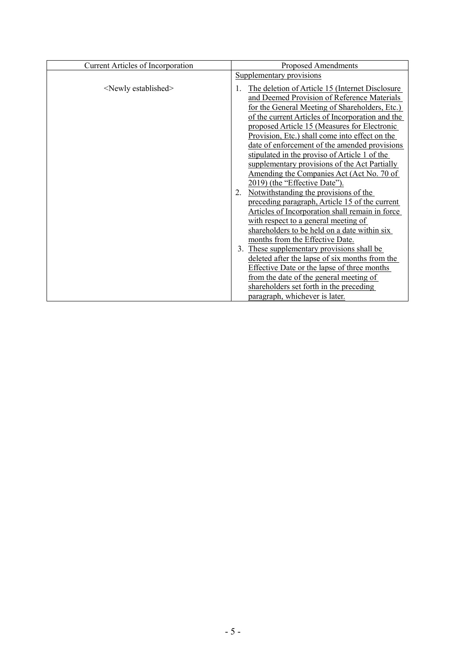| <b>Current Articles of Incorporation</b> | <b>Proposed Amendments</b>                                                                                                                                                                                                                                                                                                                                                                                                                                                                                                              |
|------------------------------------------|-----------------------------------------------------------------------------------------------------------------------------------------------------------------------------------------------------------------------------------------------------------------------------------------------------------------------------------------------------------------------------------------------------------------------------------------------------------------------------------------------------------------------------------------|
|                                          | Supplementary provisions                                                                                                                                                                                                                                                                                                                                                                                                                                                                                                                |
| <newly established=""></newly>           | The deletion of Article 15 (Internet Disclosure<br>and Deemed Provision of Reference Materials<br>for the General Meeting of Shareholders, Etc.)<br>of the current Articles of Incorporation and the<br>proposed Article 15 (Measures for Electronic<br>Provision, Etc.) shall come into effect on the<br>date of enforcement of the amended provisions<br>stipulated in the proviso of Article 1 of the<br>supplementary provisions of the Act Partially<br>Amending the Companies Act (Act No. 70 of<br>2019) (the "Effective Date"). |
|                                          | Notwithstanding the provisions of the<br>2.<br>preceding paragraph, Article 15 of the current<br>Articles of Incorporation shall remain in force<br>with respect to a general meeting of<br>shareholders to be held on a date within six<br>months from the Effective Date.                                                                                                                                                                                                                                                             |
|                                          | These supplementary provisions shall be<br>3.<br>deleted after the lapse of six months from the<br><b>Effective Date or the lapse of three months</b><br>from the date of the general meeting of<br>shareholders set forth in the preceding<br>paragraph, whichever is later.                                                                                                                                                                                                                                                           |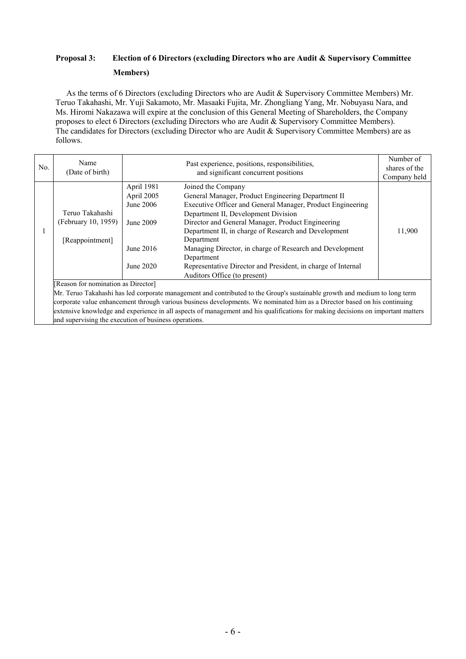# **Proposal 3: Election of 6 Directors (excluding Directors who are Audit & Supervisory Committee Members)**

As the terms of 6 Directors (excluding Directors who are Audit & Supervisory Committee Members) Mr. Teruo Takahashi, Mr. Yuji Sakamoto, Mr. Masaaki Fujita, Mr. Zhongliang Yang, Mr. Nobuyasu Nara, and Ms. Hiromi Nakazawa will expire at the conclusion of this General Meeting of Shareholders, the Company proposes to elect 6 Directors (excluding Directors who are Audit & Supervisory Committee Members). The candidates for Directors (excluding Director who are Audit & Supervisory Committee Members) are as follows.

| No. | Name<br>(Date of birth)             |            | Past experience, positions, responsibilities,<br>and significant concurrent positions                                      | Number of<br>shares of the<br>Company held |
|-----|-------------------------------------|------------|----------------------------------------------------------------------------------------------------------------------------|--------------------------------------------|
|     |                                     | April 1981 | Joined the Company                                                                                                         |                                            |
|     |                                     | April 2005 | General Manager, Product Engineering Department II                                                                         |                                            |
|     |                                     | June 2006  | Executive Officer and General Manager, Product Engineering                                                                 |                                            |
|     | Teruo Takahashi                     |            | Department II, Development Division                                                                                        |                                            |
|     | (February 10, 1959)                 | June 2009  | Director and General Manager, Product Engineering                                                                          |                                            |
|     |                                     |            | Department II, in charge of Research and Development                                                                       | 11,900                                     |
|     | [Reappointment]                     |            | Department                                                                                                                 |                                            |
|     |                                     | June 2016  | Managing Director, in charge of Research and Development                                                                   |                                            |
|     |                                     |            | Department                                                                                                                 |                                            |
|     |                                     | June 2020  | Representative Director and President, in charge of Internal                                                               |                                            |
|     |                                     |            | Auditors Office (to present)                                                                                               |                                            |
|     | [Reason for nomination as Director] |            |                                                                                                                            |                                            |
|     |                                     |            | Mr. Teruo Takahashi has led corporate management and contributed to the Group's sustainable growth and medium to long term |                                            |

corporate value enhancement through various business developments. We nominated him as a Director based on his continuing extensive knowledge and experience in all aspects of management and his qualifications for making decisions on important matters and supervising the execution of business operations.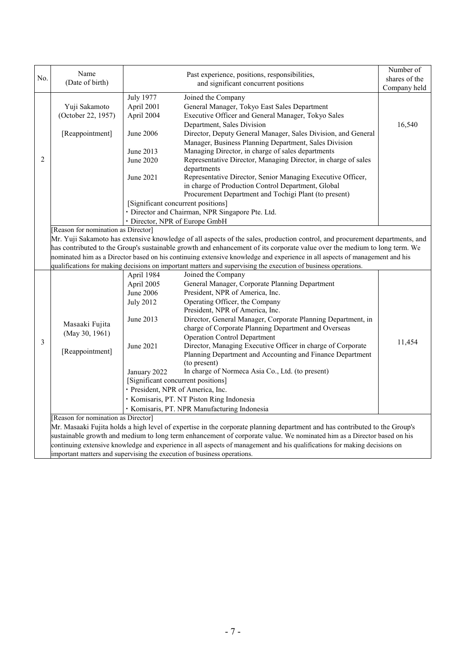| No. | Name<br>(Date of birth)                                                 | Past experience, positions, responsibilities,<br>and significant concurrent positions |                                                                                                                                      | Number of<br>shares of the<br>Company held |  |  |  |
|-----|-------------------------------------------------------------------------|---------------------------------------------------------------------------------------|--------------------------------------------------------------------------------------------------------------------------------------|--------------------------------------------|--|--|--|
|     |                                                                         | <b>July 1977</b>                                                                      | Joined the Company                                                                                                                   |                                            |  |  |  |
|     | Yuji Sakamoto                                                           | April 2001                                                                            | General Manager, Tokyo East Sales Department                                                                                         |                                            |  |  |  |
|     | (October 22, 1957)                                                      | April 2004                                                                            | Executive Officer and General Manager, Tokyo Sales                                                                                   |                                            |  |  |  |
|     |                                                                         |                                                                                       | Department, Sales Division                                                                                                           | 16,540                                     |  |  |  |
|     | [Reappointment]                                                         | June 2006                                                                             | Director, Deputy General Manager, Sales Division, and General                                                                        |                                            |  |  |  |
|     |                                                                         |                                                                                       | Manager, Business Planning Department, Sales Division                                                                                |                                            |  |  |  |
|     |                                                                         | June 2013                                                                             | Managing Director, in charge of sales departments                                                                                    |                                            |  |  |  |
| 2   |                                                                         | June 2020                                                                             | Representative Director, Managing Director, in charge of sales                                                                       |                                            |  |  |  |
|     |                                                                         |                                                                                       | departments                                                                                                                          |                                            |  |  |  |
|     |                                                                         | June 2021                                                                             | Representative Director, Senior Managing Executive Officer,                                                                          |                                            |  |  |  |
|     |                                                                         |                                                                                       | in charge of Production Control Department, Global                                                                                   |                                            |  |  |  |
|     |                                                                         |                                                                                       | Procurement Department and Tochigi Plant (to present)                                                                                |                                            |  |  |  |
|     |                                                                         | [Significant concurrent positions]                                                    |                                                                                                                                      |                                            |  |  |  |
|     |                                                                         |                                                                                       | · Director and Chairman, NPR Singapore Pte. Ltd.                                                                                     |                                            |  |  |  |
|     |                                                                         | · Director, NPR of Europe GmbH                                                        |                                                                                                                                      |                                            |  |  |  |
|     | Reason for nomination as Director]                                      |                                                                                       |                                                                                                                                      |                                            |  |  |  |
|     |                                                                         |                                                                                       | Mr. Yuji Sakamoto has extensive knowledge of all aspects of the sales, production control, and procurement departments, and          |                                            |  |  |  |
|     |                                                                         |                                                                                       | has contributed to the Group's sustainable growth and enhancement of its corporate value over the medium to long term. We            |                                            |  |  |  |
|     |                                                                         |                                                                                       | nominated him as a Director based on his continuing extensive knowledge and experience in all aspects of management and his          |                                            |  |  |  |
|     |                                                                         |                                                                                       | qualifications for making decisions on important matters and supervising the execution of business operations.<br>Joined the Company |                                            |  |  |  |
|     |                                                                         | April 1984<br>April 2005                                                              | General Manager, Corporate Planning Department                                                                                       |                                            |  |  |  |
|     |                                                                         | June 2006                                                                             | President, NPR of America, Inc.                                                                                                      |                                            |  |  |  |
|     |                                                                         | <b>July 2012</b>                                                                      | Operating Officer, the Company                                                                                                       |                                            |  |  |  |
|     |                                                                         |                                                                                       | President, NPR of America, Inc.                                                                                                      |                                            |  |  |  |
|     |                                                                         | June 2013                                                                             | Director, General Manager, Corporate Planning Department, in                                                                         |                                            |  |  |  |
|     | Masaaki Fujita<br>(May 30, 1961)                                        |                                                                                       | charge of Corporate Planning Department and Overseas                                                                                 |                                            |  |  |  |
|     |                                                                         |                                                                                       | <b>Operation Control Department</b>                                                                                                  |                                            |  |  |  |
| 3   |                                                                         | June 2021                                                                             | Director, Managing Executive Officer in charge of Corporate                                                                          | 11,454                                     |  |  |  |
|     | [Reappointment]                                                         |                                                                                       | Planning Department and Accounting and Finance Department                                                                            |                                            |  |  |  |
|     |                                                                         |                                                                                       | (to present)                                                                                                                         |                                            |  |  |  |
|     |                                                                         | January 2022                                                                          | In charge of Normeca Asia Co., Ltd. (to present)                                                                                     |                                            |  |  |  |
|     |                                                                         | [Significant concurrent positions]                                                    |                                                                                                                                      |                                            |  |  |  |
|     |                                                                         | · President, NPR of America, Inc.                                                     |                                                                                                                                      |                                            |  |  |  |
|     |                                                                         | · Komisaris, PT. NT Piston Ring Indonesia                                             |                                                                                                                                      |                                            |  |  |  |
|     |                                                                         | · Komisaris, PT. NPR Manufacturing Indonesia                                          |                                                                                                                                      |                                            |  |  |  |
|     | [Reason for nomination as Director]                                     |                                                                                       |                                                                                                                                      |                                            |  |  |  |
|     |                                                                         |                                                                                       | Mr. Masaaki Fujita holds a high level of expertise in the corporate planning department and has contributed to the Group's           |                                            |  |  |  |
|     |                                                                         |                                                                                       | sustainable growth and medium to long term enhancement of corporate value. We nominated him as a Director based on his               |                                            |  |  |  |
|     |                                                                         |                                                                                       | continuing extensive knowledge and experience in all aspects of management and his qualifications for making decisions on            |                                            |  |  |  |
|     | important matters and supervising the execution of business operations. |                                                                                       |                                                                                                                                      |                                            |  |  |  |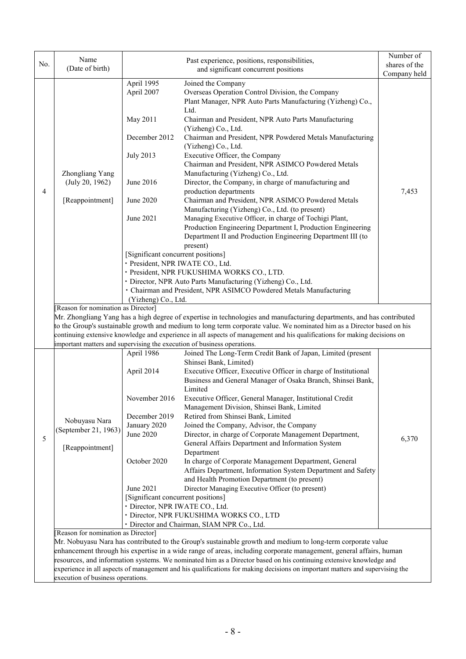|     | Name                               |                                          | Past experience, positions, responsibilities,                                                                                                                                                                                                      | Number of     |  |
|-----|------------------------------------|------------------------------------------|----------------------------------------------------------------------------------------------------------------------------------------------------------------------------------------------------------------------------------------------------|---------------|--|
| No. | (Date of birth)                    |                                          | and significant concurrent positions                                                                                                                                                                                                               | shares of the |  |
|     |                                    |                                          |                                                                                                                                                                                                                                                    | Company held  |  |
|     |                                    | April 1995                               | Joined the Company                                                                                                                                                                                                                                 |               |  |
|     |                                    | April 2007                               | Overseas Operation Control Division, the Company                                                                                                                                                                                                   |               |  |
|     |                                    |                                          | Plant Manager, NPR Auto Parts Manufacturing (Yizheng) Co.,                                                                                                                                                                                         |               |  |
|     |                                    |                                          | Ltd.                                                                                                                                                                                                                                               |               |  |
|     |                                    | May 2011                                 | Chairman and President, NPR Auto Parts Manufacturing                                                                                                                                                                                               |               |  |
|     |                                    |                                          | (Yizheng) Co., Ltd.                                                                                                                                                                                                                                |               |  |
|     |                                    | December 2012                            | Chairman and President, NPR Powdered Metals Manufacturing<br>(Yizheng) Co., Ltd.                                                                                                                                                                   |               |  |
|     |                                    | <b>July 2013</b>                         | Executive Officer, the Company                                                                                                                                                                                                                     |               |  |
|     |                                    |                                          | Chairman and President, NPR ASIMCO Powdered Metals                                                                                                                                                                                                 |               |  |
|     | Zhongliang Yang                    |                                          | Manufacturing (Yizheng) Co., Ltd.                                                                                                                                                                                                                  |               |  |
|     | (July 20, 1962)                    | June 2016                                | Director, the Company, in charge of manufacturing and                                                                                                                                                                                              |               |  |
| 4   |                                    |                                          | production departments                                                                                                                                                                                                                             | 7,453         |  |
|     | [Reappointment]                    | June 2020                                | Chairman and President, NPR ASIMCO Powdered Metals                                                                                                                                                                                                 |               |  |
|     |                                    |                                          | Manufacturing (Yizheng) Co., Ltd. (to present)                                                                                                                                                                                                     |               |  |
|     |                                    | June 2021                                | Managing Executive Officer, in charge of Tochigi Plant,                                                                                                                                                                                            |               |  |
|     |                                    |                                          | Production Engineering Department I, Production Engineering                                                                                                                                                                                        |               |  |
|     |                                    |                                          | Department II and Production Engineering Department III (to                                                                                                                                                                                        |               |  |
|     |                                    |                                          | present)                                                                                                                                                                                                                                           |               |  |
|     |                                    | [Significant concurrent positions]       |                                                                                                                                                                                                                                                    |               |  |
|     |                                    | · President, NPR IWATE CO., Ltd.         |                                                                                                                                                                                                                                                    |               |  |
|     |                                    |                                          | · President, NPR FUKUSHIMA WORKS CO., LTD.                                                                                                                                                                                                         |               |  |
|     |                                    |                                          | · Director, NPR Auto Parts Manufacturing (Yizheng) Co., Ltd.                                                                                                                                                                                       |               |  |
|     |                                    |                                          | · Chairman and President, NPR ASIMCO Powdered Metals Manufacturing                                                                                                                                                                                 |               |  |
|     |                                    | (Yizheng) Co., Ltd.                      |                                                                                                                                                                                                                                                    |               |  |
|     | Reason for nomination as Director] |                                          |                                                                                                                                                                                                                                                    |               |  |
|     |                                    |                                          | Mr. Zhongliang Yang has a high degree of expertise in technologies and manufacturing departments, and has contributed                                                                                                                              |               |  |
|     |                                    |                                          | to the Group's sustainable growth and medium to long term corporate value. We nominated him as a Director based on his                                                                                                                             |               |  |
|     |                                    |                                          | continuing extensive knowledge and experience in all aspects of management and his qualifications for making decisions on                                                                                                                          |               |  |
|     |                                    |                                          | important matters and supervising the execution of business operations.                                                                                                                                                                            |               |  |
|     |                                    | April 1986                               | Joined The Long-Term Credit Bank of Japan, Limited (present                                                                                                                                                                                        |               |  |
|     |                                    |                                          | Shinsei Bank, Limited)                                                                                                                                                                                                                             |               |  |
|     |                                    | April 2014                               | Executive Officer, Executive Officer in charge of Institutional                                                                                                                                                                                    |               |  |
|     |                                    |                                          | Business and General Manager of Osaka Branch, Shinsei Bank,                                                                                                                                                                                        |               |  |
|     |                                    |                                          | Limited                                                                                                                                                                                                                                            |               |  |
|     |                                    | November 2016                            | Executive Officer, General Manager, Institutional Credit                                                                                                                                                                                           |               |  |
|     |                                    |                                          | Management Division, Shinsei Bank, Limited                                                                                                                                                                                                         |               |  |
|     | Nobuyasu Nara                      | December 2019                            | Retired from Shinsei Bank, Limited                                                                                                                                                                                                                 |               |  |
|     | (September 21, 1963)               | January 2020                             | Joined the Company, Advisor, the Company                                                                                                                                                                                                           |               |  |
| 5   |                                    | June 2020                                | Director, in charge of Corporate Management Department,                                                                                                                                                                                            | 6,370         |  |
|     | [Reappointment]                    |                                          | General Affairs Department and Information System                                                                                                                                                                                                  |               |  |
|     |                                    |                                          | Department                                                                                                                                                                                                                                         |               |  |
|     |                                    | October 2020                             | In charge of Corporate Management Department, General                                                                                                                                                                                              |               |  |
|     |                                    |                                          | Affairs Department, Information System Department and Safety                                                                                                                                                                                       |               |  |
|     |                                    |                                          | and Health Promotion Department (to present)                                                                                                                                                                                                       |               |  |
|     |                                    | June 2021                                | Director Managing Executive Officer (to present)                                                                                                                                                                                                   |               |  |
|     |                                    | [Significant concurrent positions]       |                                                                                                                                                                                                                                                    |               |  |
|     |                                    | · Director, NPR IWATE CO., Ltd.          |                                                                                                                                                                                                                                                    |               |  |
|     |                                    | · Director, NPR FUKUSHIMA WORKS CO., LTD |                                                                                                                                                                                                                                                    |               |  |
|     |                                    |                                          | · Director and Chairman, SIAM NPR Co., Ltd.                                                                                                                                                                                                        |               |  |
|     | Reason for nomination as Director] |                                          |                                                                                                                                                                                                                                                    |               |  |
|     |                                    |                                          | Mr. Nobuyasu Nara has contributed to the Group's sustainable growth and medium to long-term corporate value                                                                                                                                        |               |  |
|     |                                    |                                          | enhancement through his expertise in a wide range of areas, including corporate management, general affairs, human                                                                                                                                 |               |  |
|     |                                    |                                          | resources, and information systems. We nominated him as a Director based on his continuing extensive knowledge and<br>experience in all aspects of management and his qualifications for making decisions on important matters and supervising the |               |  |
|     | execution of business operations.  |                                          |                                                                                                                                                                                                                                                    |               |  |
|     |                                    |                                          |                                                                                                                                                                                                                                                    |               |  |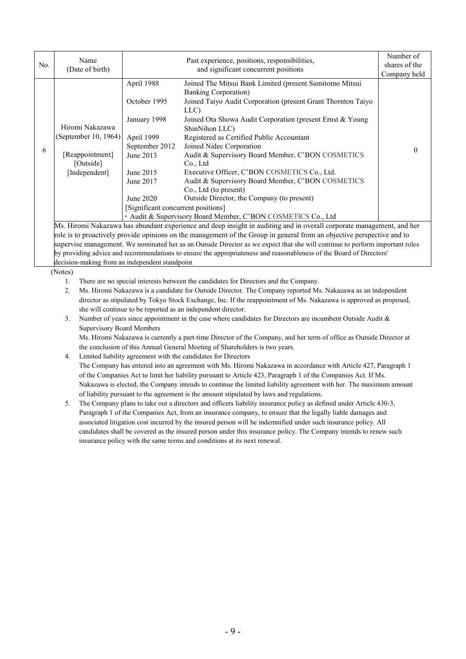| No. | Name<br>(Date of birth)                                                                                                                                                                                                                         |                                                                                                                                                                      | Past experience, positions, responsibilities,<br>and significant concurrent positions                                                                                                                                                                                                                                                                                                                                                                                                                                                                                                                                                | Number of<br>shares of the |  |  |
|-----|-------------------------------------------------------------------------------------------------------------------------------------------------------------------------------------------------------------------------------------------------|----------------------------------------------------------------------------------------------------------------------------------------------------------------------|--------------------------------------------------------------------------------------------------------------------------------------------------------------------------------------------------------------------------------------------------------------------------------------------------------------------------------------------------------------------------------------------------------------------------------------------------------------------------------------------------------------------------------------------------------------------------------------------------------------------------------------|----------------------------|--|--|
| 6   | Hiromi Nakazawa<br>(September 10, 1964)<br>[Reappointment]<br>[Outside]<br>[Independent]                                                                                                                                                        | April 1988<br>October 1995<br>January 1998<br>April 1999<br>September 2012<br>June 2013<br>June 2015<br>June 2017<br>June 2020<br>[Significant concurrent positions] | Joined The Mitsui Bank Limited (present Sumitomo Mitsui<br><b>Banking Corporation</b> )<br>Joined Taiyo Audit Corporation (present Grant Thornton Taiyo<br>LLC)<br>Joined Ota Showa Audit Corporation (present Ernst & Young<br>ShinNihon LLC)<br>Registered as Certified Public Accountant<br>Joined Nidec Corporation<br>Audit & Supervisory Board Member, C'BON COSMETICS<br>Co., Ltd<br>Executive Officer, C'BON COSMETICS Co., Ltd.<br>Audit & Supervisory Board Member, C'BON COSMETICS<br>Co., Ltd (to present)<br>Outside Director, the Company (to present)<br>• Audit & Supervisory Board Member, C'BON COSMETICS Co., Ltd | Company held<br>0          |  |  |
|     | Ms. Hiromi Nakazawa has abundant experience and deep insight in auditing and in overall corporate management, and her<br>role is to proactively provide opinions on the management of the Group in general from an objective perspective and to |                                                                                                                                                                      |                                                                                                                                                                                                                                                                                                                                                                                                                                                                                                                                                                                                                                      |                            |  |  |

role is to proactively provide opinions on the management of the Group in general from an objective perspective and to supervise management. We nominated her as an Outside Director as we expect that she will continue to perform important roles by providing advice and recommendations to ensure the appropriateness and reasonableness of the Board of Directors' decision-making from an independent standpoint

(Notes)

- 1. There are no special interests between the candidates for Directors and the Company.
- 2. Ms. Hiromi Nakazawa is a candidate for Outside Director. The Company reported Ms. Nakazawa as an independent director as stipulated by Tokyo Stock Exchange, Inc. If the reappointment of Ms. Nakazawa is approved as proposed, she will continue to be reported as an independent director.
- 3. Number of years since appointment in the case where candidates for Directors are incumbent Outside Audit & Supervisory Board Members

Ms. Hiromi Nakazawa is currently a part-time Director of the Company, and her term of office as Outside Director at the conclusion of this Annual General Meeting of Shareholders is two years.

## 4. Limited liability agreement with the candidates for Directors The Company has entered into an agreement with Ms. Hiromi Nakazawa in accordance with Article 427, Paragraph 1 of the Companies Act to limit her liability pursuant to Article 423, Paragraph 1 of the Companies Act. If Ms. Nakazawa is elected, the Company intends to continue the limited liability agreement with her. The maximum amount of liability pursuant to the agreement is the amount stipulated by laws and regulations.

5. The Company plans to take out a directors and officers liability insurance policy as defined under Article 430-3, Paragraph 1 of the Companies Act, from an insurance company, to ensure that the legally liable damages and associated litigation cost incurred by the insured person will be indemnified under such insurance policy. All candidates shall be covered as the insured person under this insurance policy. The Company intends to renew such insurance policy with the same terms and conditions at its next renewal.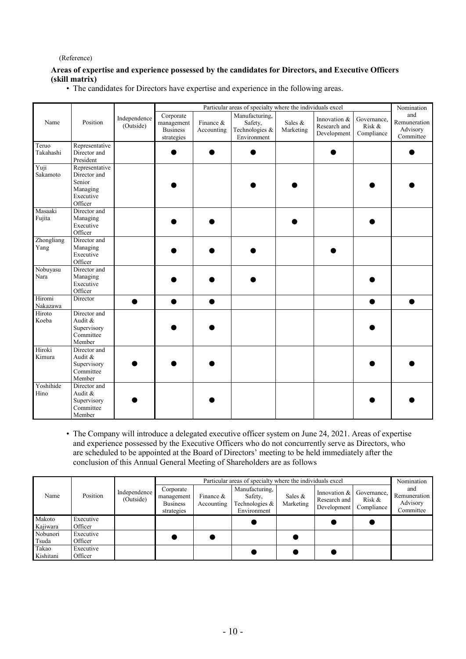## (Reference)

# **Areas of expertise and experience possessed by the candidates for Directors, and Executive Officers (skill matrix)**

• The candidates for Directors have expertise and experience in the following areas.

|                    | Position                                                                     | Independence<br>(Outside) | Particular areas of specialty where the individuals excel |                         |                                                            |                      |                                             |                                     | Nomination                                   |
|--------------------|------------------------------------------------------------------------------|---------------------------|-----------------------------------------------------------|-------------------------|------------------------------------------------------------|----------------------|---------------------------------------------|-------------------------------------|----------------------------------------------|
| Name               |                                                                              |                           | Corporate<br>management<br><b>Business</b><br>strategies  | Finance &<br>Accounting | Manufacturing,<br>Safety,<br>Technologies &<br>Environment | Sales &<br>Marketing | Innovation &<br>Research and<br>Development | Governance,<br>Risk &<br>Compliance | and<br>Remuneration<br>Advisory<br>Committee |
| Teruo<br>Takahashi | Representative<br>Director and<br>President                                  |                           |                                                           |                         |                                                            |                      |                                             |                                     |                                              |
| Yuji<br>Sakamoto   | Representative<br>Director and<br>Senior<br>Managing<br>Executive<br>Officer |                           |                                                           |                         |                                                            |                      |                                             |                                     |                                              |
| Masaaki<br>Fujita  | Director and<br>Managing<br>Executive<br>Officer                             |                           |                                                           |                         |                                                            |                      |                                             |                                     |                                              |
| Zhongliang<br>Yang | Director and<br>Managing<br>Executive<br>Officer                             |                           |                                                           |                         |                                                            |                      |                                             |                                     |                                              |
| Nobuyasu<br>Nara   | Director and<br>Managing<br>Executive<br>Officer                             |                           |                                                           |                         |                                                            |                      |                                             |                                     |                                              |
| Hiromi<br>Nakazawa | Director                                                                     |                           |                                                           |                         |                                                            |                      |                                             |                                     |                                              |
| Hiroto<br>Koeba    | Director and<br>Audit &<br>Supervisory<br>Committee<br>Member                |                           |                                                           |                         |                                                            |                      |                                             |                                     |                                              |
| Hiroki<br>Kimura   | Director and<br>Audit &<br>Supervisory<br>Committee<br>Member                |                           |                                                           |                         |                                                            |                      |                                             |                                     |                                              |
| Yoshihide<br>Hino  | Director and<br>Audit &<br>Supervisory<br>Committee<br>Member                |                           |                                                           |                         |                                                            |                      |                                             |                                     |                                              |

• The Company will introduce a delegated executive officer system on June 24, 2021. Areas of expertise and experience possessed by the Executive Officers who do not concurrently serve as Directors, who are scheduled to be appointed at the Board of Directors' meeting to be held immediately after the conclusion of this Annual General Meeting of Shareholders are as follows

|                    | Position             | Independence<br>(Outside) | Particular areas of specialty where the individuals excel |                           |                                                            |                         |                                               |                                     | Nomination                                   |
|--------------------|----------------------|---------------------------|-----------------------------------------------------------|---------------------------|------------------------------------------------------------|-------------------------|-----------------------------------------------|-------------------------------------|----------------------------------------------|
| Name               |                      |                           | Corporate<br>management<br><b>Business</b><br>strategies  | Finance $&$<br>Accounting | Manufacturing,<br>Safety,<br>Technologies &<br>Environment | Sales $\&$<br>Marketing | Innovation $&$<br>Research and<br>Development | Governance,<br>Risk &<br>Compliance | and<br>Remuneration<br>Advisory<br>Committee |
| Makoto<br>Kajiwara | Executive<br>Officer |                           |                                                           |                           |                                                            |                         |                                               |                                     |                                              |
| Nobunori<br>Tsuda  | Executive<br>Officer |                           |                                                           |                           |                                                            |                         |                                               |                                     |                                              |
| Takao<br>Kishitani | Executive<br>Officer |                           |                                                           |                           |                                                            |                         |                                               |                                     |                                              |